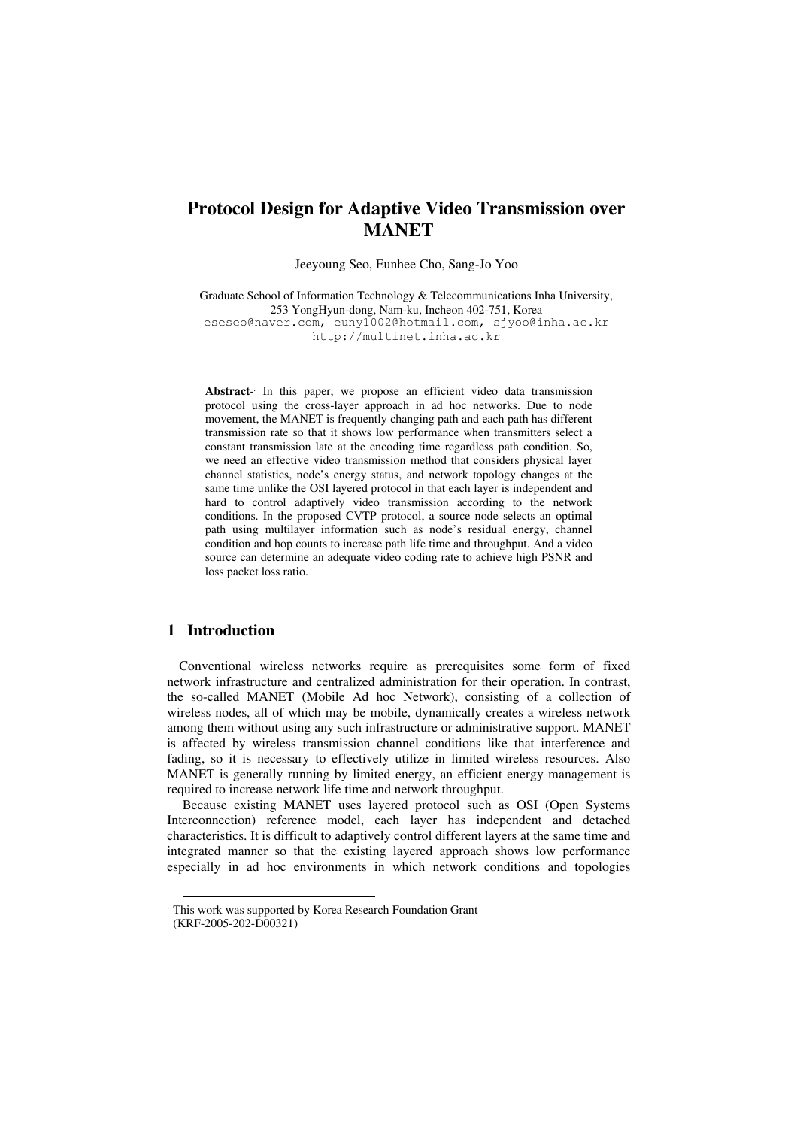# Protocol Design for Adaptive Video Transmission over MANET

Jeeyoung Seo, Eunhee Cho, Sang-Jo Yoo

Graduate School of Information Technology & Telecommunications Inha University, 253 YongHyun-dong, Nam-ku, Incheon 402-751, Korea eseseo@naver.com, euny1002@hotmail.com, sjyoo@inha.ac.kr http://multinet.inha.ac.kr

Abstract- In this paper, we propose an efficient video data transmission protocol using the cross-layer approach in ad hoc networks. Due to node movement, the MANET is frequently changing path and each path has different transmission rate so that it shows low performance when transmitters select a constant transmission late at the encoding time regardless path condition. So, we need an effective video transmission method that considers physical layer channel statistics, node's energy status, and network topology changes at the same time unlike the OSI layered protocol in that each layer is independent and hard to control adaptively video transmission according to the network conditions. In the proposed CVTP protocol, a source node selects an optimal path using multilayer information such as node's residual energy, channel condition and hop counts to increase path life time and throughput. And a video source can determine an adequate video coding rate to achieve high PSNR and loss packet loss ratio.

# 1 Introduction

 $\overline{a}$ 

Conventional wireless networks require as prerequisites some form of fixed network infrastructure and centralized administration for their operation. In contrast, the so-called MANET (Mobile Ad hoc Network), consisting of a collection of wireless nodes, all of which may be mobile, dynamically creates a wireless network among them without using any such infrastructure or administrative support. MANET is affected by wireless transmission channel conditions like that interference and fading, so it is necessary to effectively utilize in limited wireless resources. Also MANET is generally running by limited energy, an efficient energy management is required to increase network life time and network throughput.

 Because existing MANET uses layered protocol such as OSI (Open Systems Interconnection) reference model, each layer has independent and detached characteristics. It is difficult to adaptively control different layers at the same time and integrated manner so that the existing layered approach shows low performance especially in ad hoc environments in which network conditions and topologies

<sup>.</sup> This work was supported by Korea Research Foundation Grant (KRF-2005-202-D00321)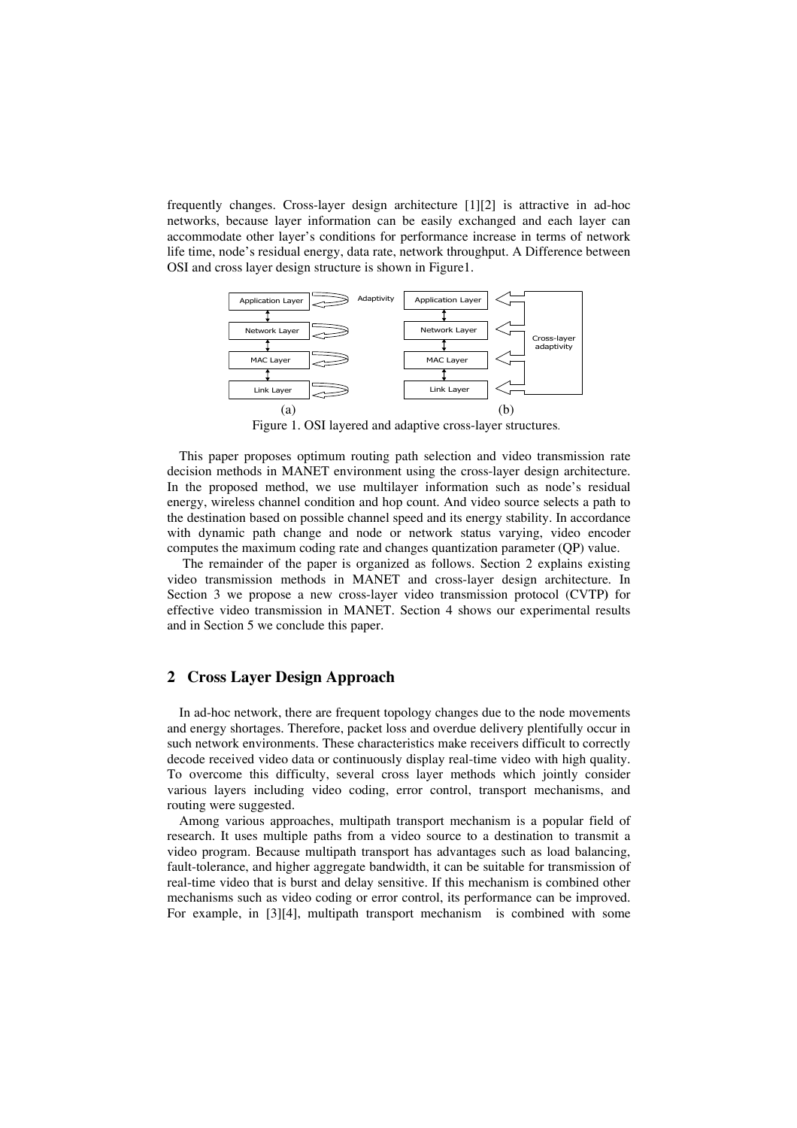frequently changes. Cross-layer design architecture [1][2] is attractive in ad-hoc networks, because layer information can be easily exchanged and each layer can accommodate other layer's conditions for performance increase in terms of network life time, node's residual energy, data rate, network throughput. A Difference between OSI and cross layer design structure is shown in Figure1.



Figure 1. OSI layered and adaptive cross-layer structures.

This paper proposes optimum routing path selection and video transmission rate decision methods in MANET environment using the cross-layer design architecture. In the proposed method, we use multilayer information such as node's residual energy, wireless channel condition and hop count. And video source selects a path to the destination based on possible channel speed and its energy stability. In accordance with dynamic path change and node or network status varying, video encoder computes the maximum coding rate and changes quantization parameter (QP) value.

 The remainder of the paper is organized as follows. Section 2 explains existing video transmission methods in MANET and cross-layer design architecture. In Section 3 we propose a new cross-layer video transmission protocol (CVTP) for effective video transmission in MANET. Section 4 shows our experimental results and in Section 5 we conclude this paper.

### 2 Cross Layer Design Approach

In ad-hoc network, there are frequent topology changes due to the node movements and energy shortages. Therefore, packet loss and overdue delivery plentifully occur in such network environments. These characteristics make receivers difficult to correctly decode received video data or continuously display real-time video with high quality. To overcome this difficulty, several cross layer methods which jointly consider various layers including video coding, error control, transport mechanisms, and routing were suggested.

Among various approaches, multipath transport mechanism is a popular field of research. It uses multiple paths from a video source to a destination to transmit a video program. Because multipath transport has advantages such as load balancing, fault-tolerance, and higher aggregate bandwidth, it can be suitable for transmission of real-time video that is burst and delay sensitive. If this mechanism is combined other mechanisms such as video coding or error control, its performance can be improved. For example, in [3][4], multipath transport mechanism is combined with some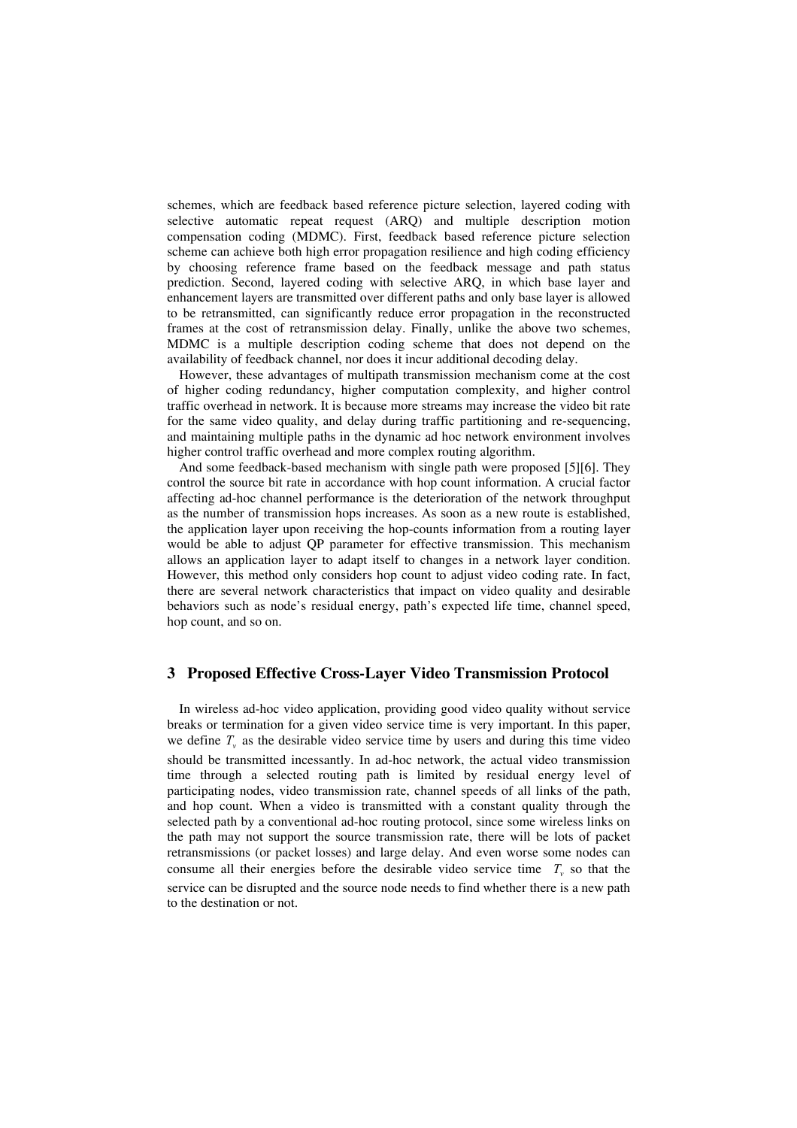schemes, which are feedback based reference picture selection, layered coding with selective automatic repeat request (ARQ) and multiple description motion compensation coding (MDMC). First, feedback based reference picture selection scheme can achieve both high error propagation resilience and high coding efficiency by choosing reference frame based on the feedback message and path status prediction. Second, layered coding with selective ARQ, in which base layer and enhancement layers are transmitted over different paths and only base layer is allowed to be retransmitted, can significantly reduce error propagation in the reconstructed frames at the cost of retransmission delay. Finally, unlike the above two schemes, MDMC is a multiple description coding scheme that does not depend on the availability of feedback channel, nor does it incur additional decoding delay.

However, these advantages of multipath transmission mechanism come at the cost of higher coding redundancy, higher computation complexity, and higher control traffic overhead in network. It is because more streams may increase the video bit rate for the same video quality, and delay during traffic partitioning and re-sequencing, and maintaining multiple paths in the dynamic ad hoc network environment involves higher control traffic overhead and more complex routing algorithm.

And some feedback-based mechanism with single path were proposed [5][6]. They control the source bit rate in accordance with hop count information. A crucial factor affecting ad-hoc channel performance is the deterioration of the network throughput as the number of transmission hops increases. As soon as a new route is established, the application layer upon receiving the hop-counts information from a routing layer would be able to adjust QP parameter for effective transmission. This mechanism allows an application layer to adapt itself to changes in a network layer condition. However, this method only considers hop count to adjust video coding rate. In fact, there are several network characteristics that impact on video quality and desirable behaviors such as node's residual energy, path's expected life time, channel speed, hop count, and so on.

### 3 Proposed Effective Cross-Layer Video Transmission Protocol

In wireless ad-hoc video application, providing good video quality without service breaks or termination for a given video service time is very important. In this paper, we define  $T<sub>v</sub>$  as the desirable video service time by users and during this time video should be transmitted incessantly. In ad-hoc network, the actual video transmission time through a selected routing path is limited by residual energy level of participating nodes, video transmission rate, channel speeds of all links of the path, and hop count. When a video is transmitted with a constant quality through the selected path by a conventional ad-hoc routing protocol, since some wireless links on the path may not support the source transmission rate, there will be lots of packet retransmissions (or packet losses) and large delay. And even worse some nodes can consume all their energies before the desirable video service time  $T_{\nu}$  so that the service can be disrupted and the source node needs to find whether there is a new path to the destination or not.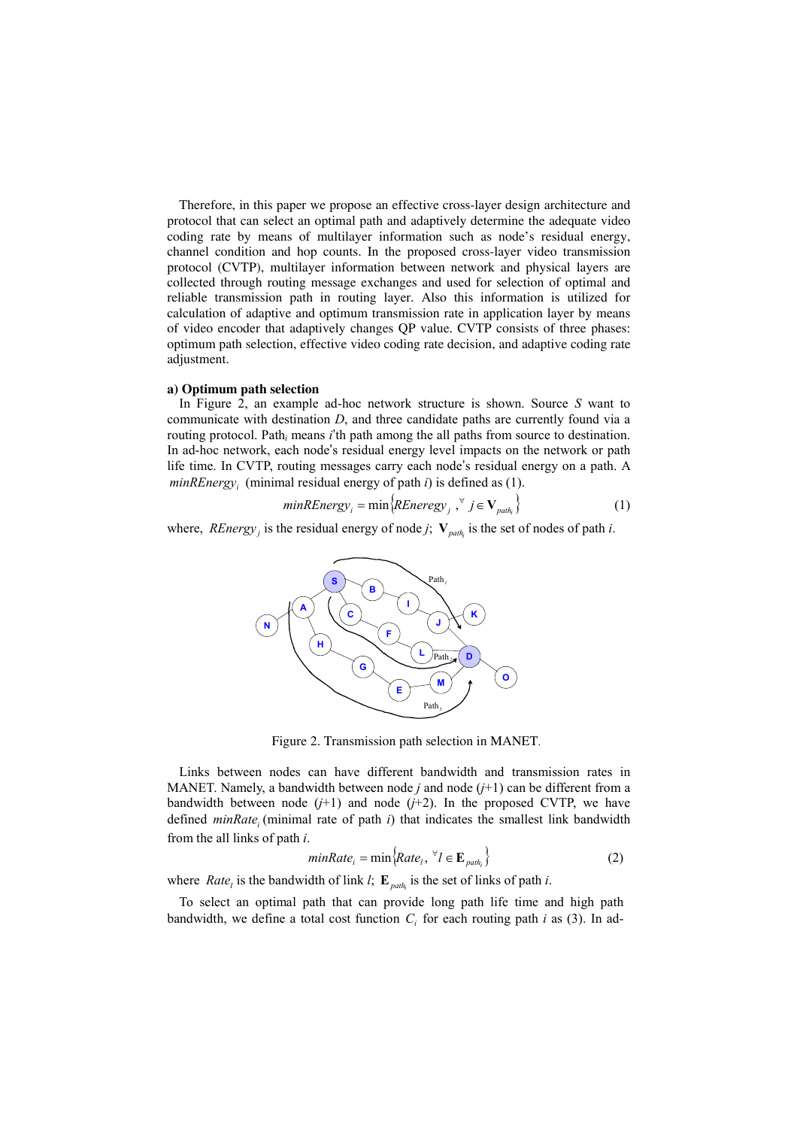Therefore, in this paper we propose an effective cross-layer design architecture and protocol that can select an optimal path and adaptively determine the adequate video coding rate by means of multilayer information such as node's residual energy, channel condition and hop counts. In the proposed cross-layer video transmission protocol (CVTP), multilayer information between network and physical layers are collected through routing message exchanges and used for selection of optimal and reliable transmission path in routing layer. Also this information is utilized for calculation of adaptive and optimum transmission rate in application layer by means of video encoder that adaptively changes QP value. CVTP consists of three phases: optimum path selection, effective video coding rate decision, and adaptive coding rate adjustment.

#### a) Optimum path selection

In Figure 2, an example ad-hoc network structure is shown. Source  $S$  want to communicate with destination  $D$ , and three candidate paths are currently found via a routing protocol. Path<sub>i</sub> means i'th path among the all paths from source to destination. In ad-hoc network, each node's residual energy level impacts on the network or path life time. In CVTP, routing messages carry each node's residual energy on a path. A  $minREnergy<sub>i</sub>$  (minimal residual energy of path *i*) is defined as (1).

$$
minREnery_i = min\langle REneregy_j, \forall j \in V_{path_i} \rangle
$$
 (1)

where, *REnergy*, is the residual energy of node *j*;  $V_{path_i}$  is the set of nodes of path *i*.



Figure 2. Transmission path selection in MANET.

Links between nodes can have different bandwidth and transmission rates in MANET. Namely, a bandwidth between node *j* and node  $(j+1)$  can be different from a bandwidth between node  $(j+1)$  and node  $(j+2)$ . In the proposed CVTP, we have defined  $minRate_i$  (minimal rate of path i) that indicates the smallest link bandwidth from the all links of path  $i$ .

$$
minRate_i = \min\{Rate_i, \, ^\forall l \in \mathbf{E}_{path_i}\}\tag{2}
$$

where *Rate<sub>l</sub>* is the bandwidth of link *l*;  $\mathbf{E}_{path_i}$  is the set of links of path *i*.

To select an optimal path that can provide long path life time and high path bandwidth, we define a total cost function  $C<sub>i</sub>$  for each routing path i as (3). In ad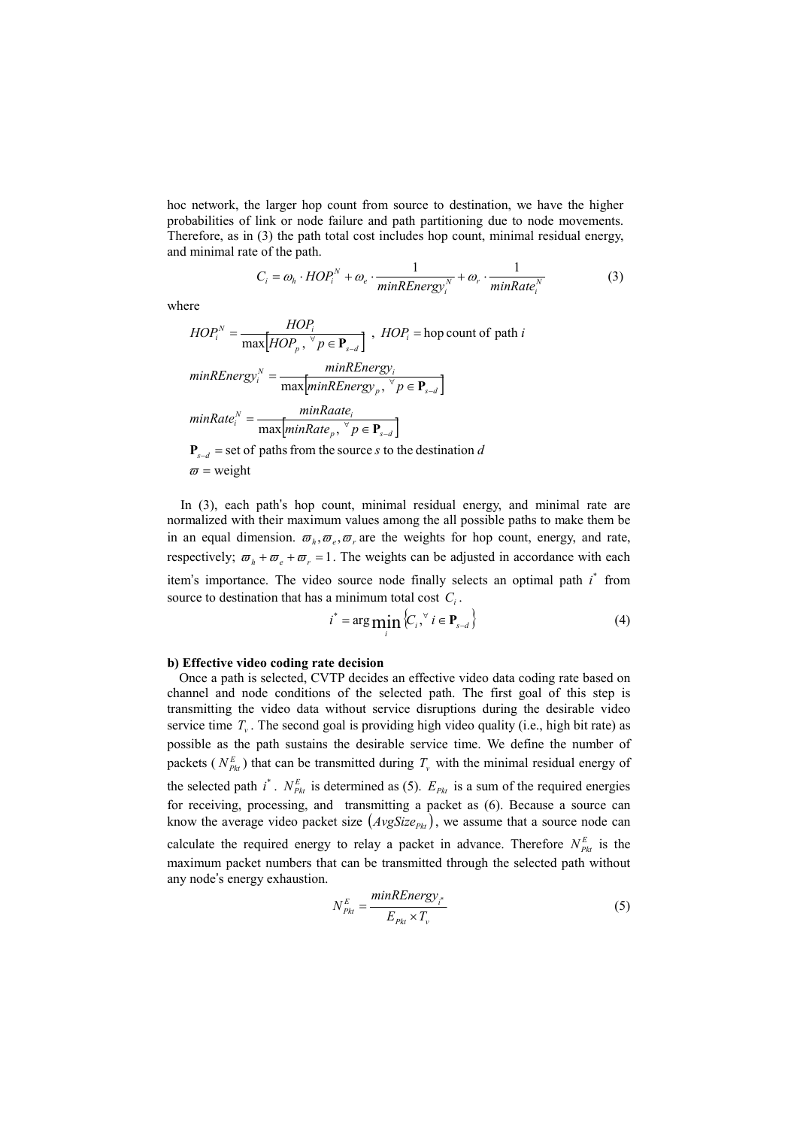hoc network, the larger hop count from source to destination, we have the higher probabilities of link or node failure and path partitioning due to node movements. Therefore, as in (3) the path total cost includes hop count, minimal residual energy, and minimal rate of the path.

$$
C_i = \omega_h \cdot HOP_i^N + \omega_e \cdot \frac{1}{\text{min} \times \text{Energy}_i^N} + \omega_r \cdot \frac{1}{\text{min} \times \text{Rate}_i^N}
$$
(3)

where

$$
HOP_i^N = \frac{HOP_i}{\max[HOP_p, \forall p \in \mathbf{P}_{s-d}]} , \ HOP_i = \text{hop count of path } i
$$
  

$$
minREnergy_i^N = \frac{minREnergy_i}{\max[\minREnergy_p, \forall p \in \mathbf{P}_{s-d}]}
$$
  

$$
minRate_i^N = \frac{minRate_i}{\max[\minRate_p, \forall p \in \mathbf{P}_{s-d}]}
$$

 ${\bf P}_{s-d}$  = set of paths from the source s to the destination d  $\varpi$  = weight

In (3), each path's hop count, minimal residual energy, and minimal rate are normalized with their maximum values among the all possible paths to make them be in an equal dimension.  $\varpi_h, \varpi_e, \varpi_r$  are the weights for hop count, energy, and rate, respectively;  $\omega_h + \omega_e + \omega_r = 1$ . The weights can be adjusted in accordance with each item's importance. The video source node finally selects an optimal path  $i^*$  from source to destination that has a minimum total cost  $C_i$ .

$$
i^* = \arg\min_i \left\{ C_i, ^\forall i \in \mathbf{P}_{s-d} \right\} \tag{4}
$$

#### b) Effective video coding rate decision

Once a path is selected, CVTP decides an effective video data coding rate based on channel and node conditions of the selected path. The first goal of this step is transmitting the video data without service disruptions during the desirable video service time  $T_{\nu}$ . The second goal is providing high video quality (i.e., high bit rate) as possible as the path sustains the desirable service time. We define the number of packets ( $N_{Pkt}^{E}$ ) that can be transmitted during  $T_v$  with the minimal residual energy of the selected path  $i^*$ .  $N_{Pkt}^E$  is determined as (5).  $E_{Pkt}$  is a sum of the required energies for receiving, processing, and transmitting a packet as (6). Because a source can know the average video packet size  $(AvgSize<sub>Pkt</sub>)$ , we assume that a source node can calculate the required energy to relay a packet in advance. Therefore  $N_{Pkt}^{E}$  is the maximum packet numbers that can be transmitted through the selected path without any node's energy exhaustion.

$$
N_{Pkt}^{E} = \frac{minREnery_i}{E_{Pkt} \times T_v}
$$
 (5)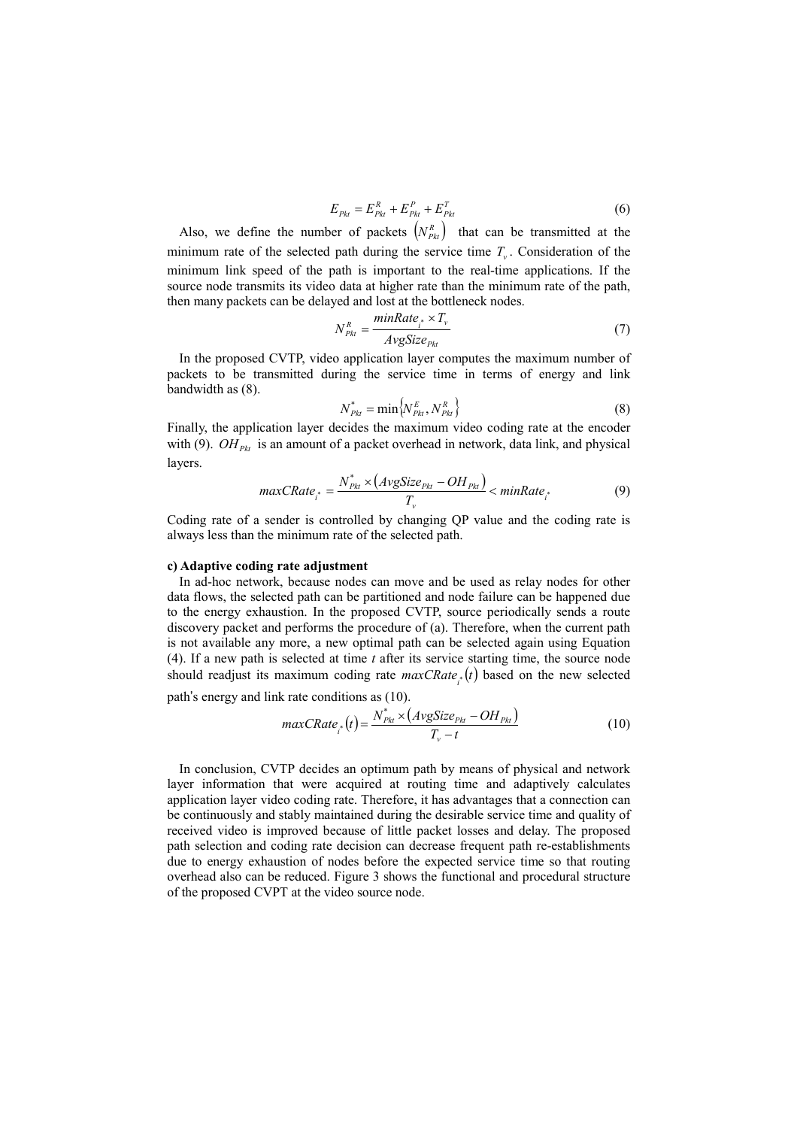$$
E_{Pkt} = E_{Pkt}^R + E_{Pkt}^P + E_{Pkt}^T
$$
 (6)

Also, we define the number of packets  $(N_{Pkt}^R)$  that can be transmitted at the minimum rate of the selected path during the service time  $T_{\nu}$ . Consideration of the minimum link speed of the path is important to the real-time applications. If the source node transmits its video data at higher rate than the minimum rate of the path, then many packets can be delayed and lost at the bottleneck nodes.

$$
N_{Pkt}^R = \frac{minRate_{i^*} \times T_v}{AvgSize_{Pkt}}
$$
(7)

In the proposed CVTP, video application layer computes the maximum number of packets to be transmitted during the service time in terms of energy and link bandwidth as (8).

$$
N_{Pkt}^* = \min\left\{N_{Pkt}^E, N_{Pkt}^R\right\} \tag{8}
$$

Finally, the application layer decides the maximum video coding rate at the encoder with (9).  $OH_{Pt}$  is an amount of a packet overhead in network, data link, and physical layers.

$$
maxCRate_{i^*} = \frac{N_{Pkt}^* \times (AvgSize_{Pkt} - OH_{Pkt})}{T_v} < minRate_{i^*}
$$
 (9)

Coding rate of a sender is controlled by changing QP value and the coding rate is always less than the minimum rate of the selected path.

#### c) Adaptive coding rate adjustment

In ad-hoc network, because nodes can move and be used as relay nodes for other data flows, the selected path can be partitioned and node failure can be happened due to the energy exhaustion. In the proposed CVTP, source periodically sends a route discovery packet and performs the procedure of (a). Therefore, when the current path is not available any more, a new optimal path can be selected again using Equation (4). If a new path is selected at time  $t$  after its service starting time, the source node should readjust its maximum coding rate  $maxCRate_{i}^{*}(t)$  based on the new selected path's energy and link rate conditions as  $(10)$ .

$$
maxCRate_{i}^{*}(t) = \frac{N_{Pkt}^{*} \times (AvgSize_{Pkt} - OH_{Pkt})}{T_{v} - t}
$$
\n(10)

In conclusion, CVTP decides an optimum path by means of physical and network layer information that were acquired at routing time and adaptively calculates application layer video coding rate. Therefore, it has advantages that a connection can be continuously and stably maintained during the desirable service time and quality of received video is improved because of little packet losses and delay. The proposed path selection and coding rate decision can decrease frequent path re-establishments due to energy exhaustion of nodes before the expected service time so that routing overhead also can be reduced. Figure 3 shows the functional and procedural structure of the proposed CVPT at the video source node.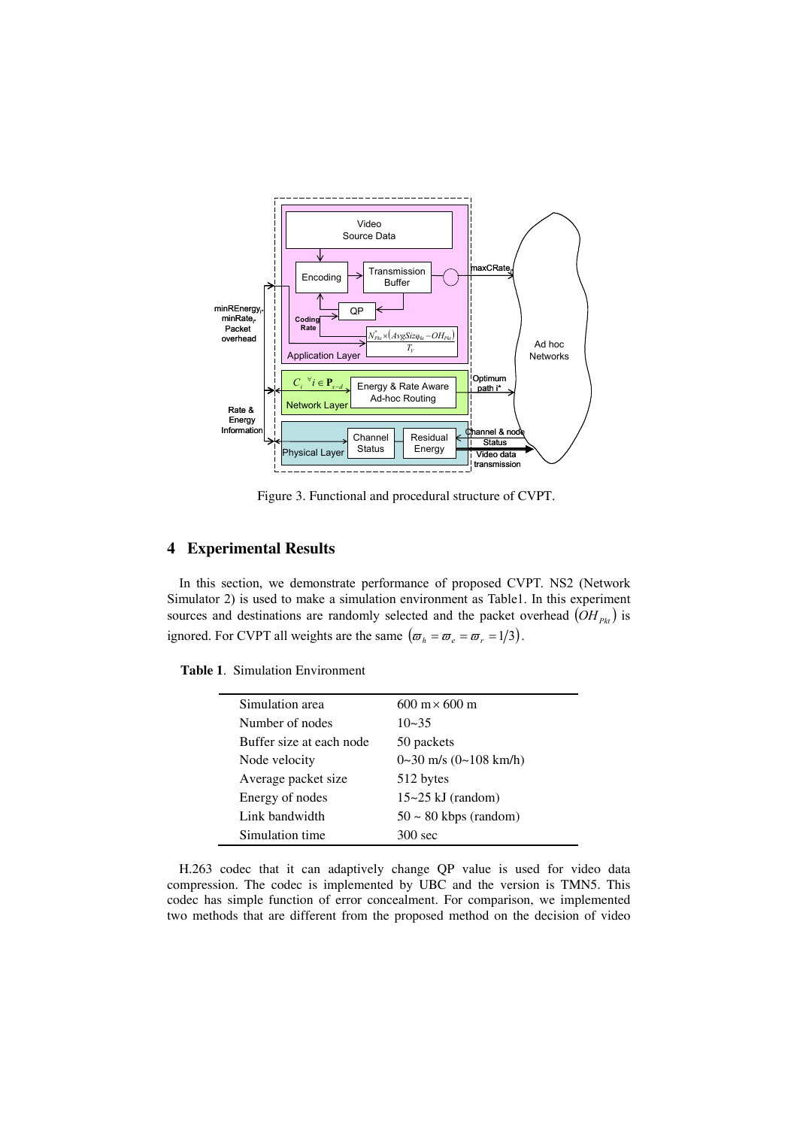

Figure 3. Functional and procedural structure of CVPT.

# 4 Experimental Results

In this section, we demonstrate performance of proposed CVPT. NS2 (Network Simulator 2) is used to make a simulation environment as Table1. In this experiment sources and destinations are randomly selected and the packet overhead  $(OH_{Pkt})$  is ignored. For CVPT all weights are the same  $(\varpi_h = \varpi_e = \varpi_r = 1/3)$ .

| <b>Table 1.</b> Simulation Environment |
|----------------------------------------|
|----------------------------------------|

| Simulation area          | $600 \text{ m} \times 600 \text{ m}$ |
|--------------------------|--------------------------------------|
| Number of nodes          | $10 - 35$                            |
| Buffer size at each node | 50 packets                           |
| Node velocity            | $0-30$ m/s $(0-108$ km/h)            |
| Average packet size      | 512 bytes                            |
| Energy of nodes          | $15-25$ kJ (random)                  |
| Link bandwidth           | $50 \sim 80$ kbps (random)           |
| Simulation time          | 300 sec                              |

H.263 codec that it can adaptively change QP value is used for video data compression. The codec is implemented by UBC and the version is TMN5. This codec has simple function of error concealment. For comparison, we implemented two methods that are different from the proposed method on the decision of video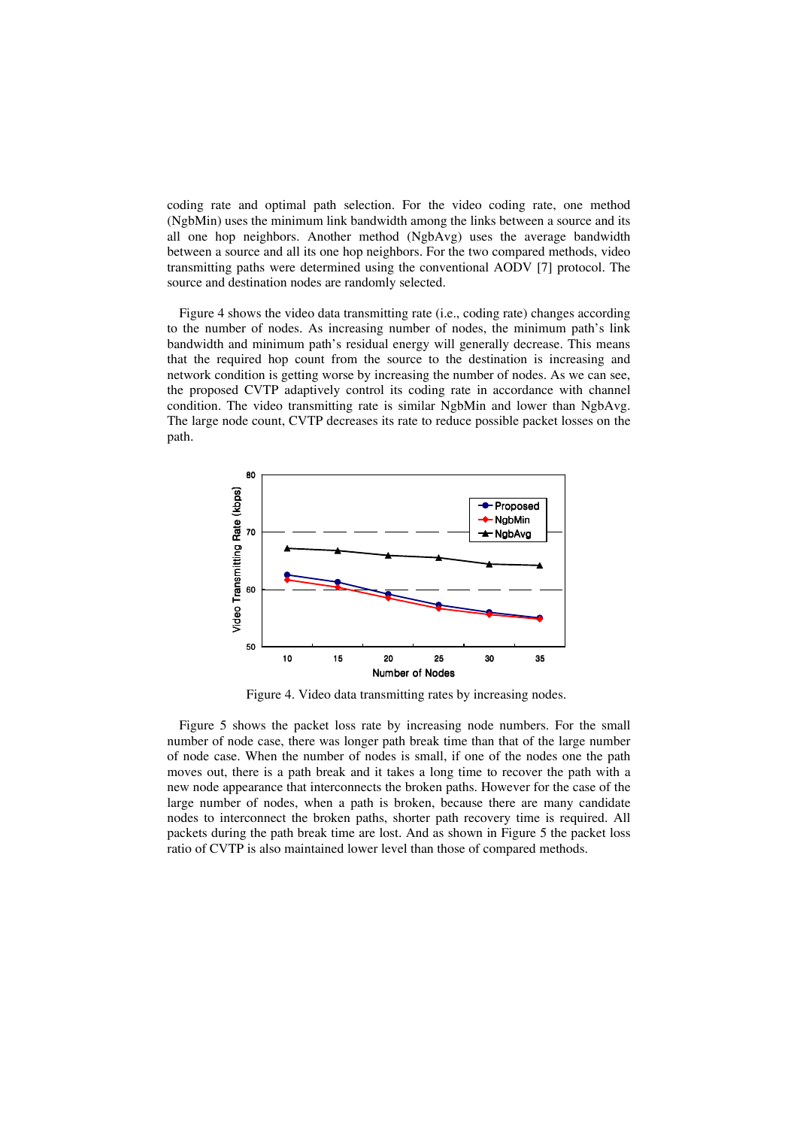coding rate and optimal path selection. For the video coding rate, one method (NgbMin) uses the minimum link bandwidth among the links between a source and its all one hop neighbors. Another method (NgbAvg) uses the average bandwidth between a source and all its one hop neighbors. For the two compared methods, video transmitting paths were determined using the conventional AODV [7] protocol. The source and destination nodes are randomly selected.

Figure 4 shows the video data transmitting rate (i.e., coding rate) changes according to the number of nodes. As increasing number of nodes, the minimum path's link bandwidth and minimum path's residual energy will generally decrease. This means that the required hop count from the source to the destination is increasing and network condition is getting worse by increasing the number of nodes. As we can see, the proposed CVTP adaptively control its coding rate in accordance with channel condition. The video transmitting rate is similar NgbMin and lower than NgbAvg. The large node count, CVTP decreases its rate to reduce possible packet losses on the path.



Figure 4. Video data transmitting rates by increasing nodes.

Figure 5 shows the packet loss rate by increasing node numbers. For the small number of node case, there was longer path break time than that of the large number of node case. When the number of nodes is small, if one of the nodes one the path moves out, there is a path break and it takes a long time to recover the path with a new node appearance that interconnects the broken paths. However for the case of the large number of nodes, when a path is broken, because there are many candidate nodes to interconnect the broken paths, shorter path recovery time is required. All packets during the path break time are lost. And as shown in Figure 5 the packet loss ratio of CVTP is also maintained lower level than those of compared methods.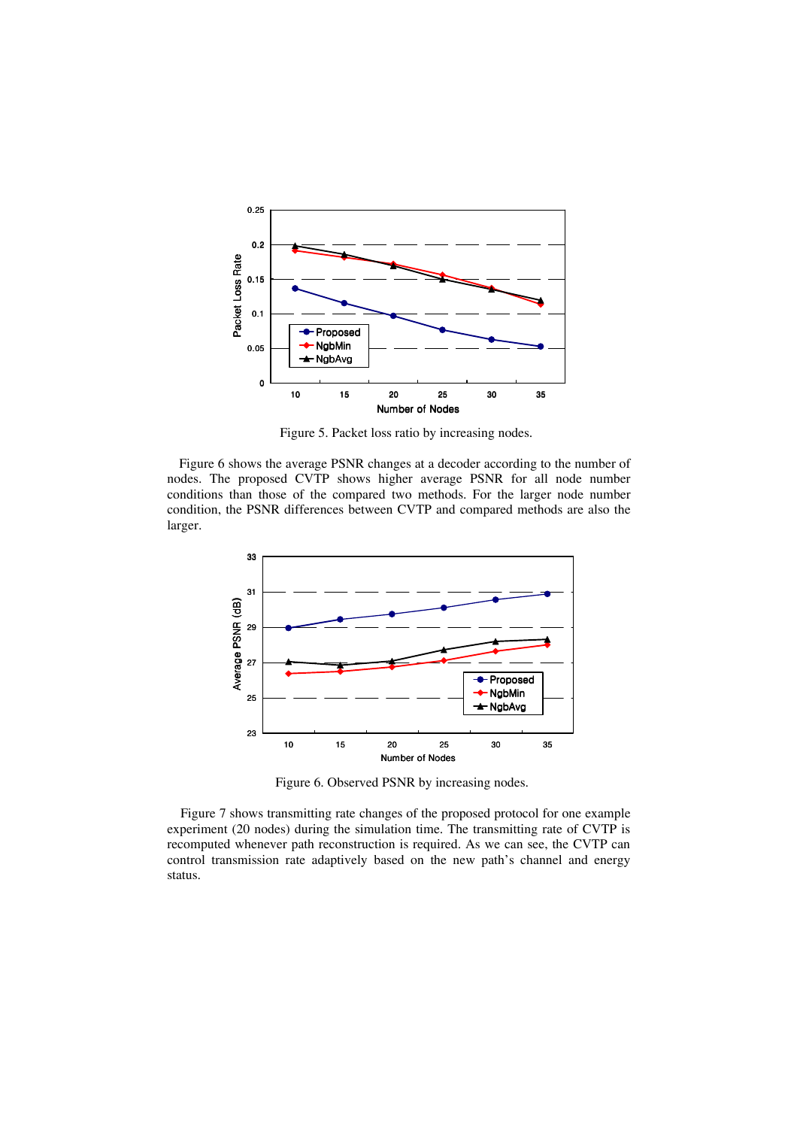

Figure 5. Packet loss ratio by increasing nodes.

Figure 6 shows the average PSNR changes at a decoder according to the number of nodes. The proposed CVTP shows higher average PSNR for all node number conditions than those of the compared two methods. For the larger node number condition, the PSNR differences between CVTP and compared methods are also the larger.



Figure 6. Observed PSNR by increasing nodes.

Figure 7 shows transmitting rate changes of the proposed protocol for one example experiment (20 nodes) during the simulation time. The transmitting rate of CVTP is recomputed whenever path reconstruction is required. As we can see, the CVTP can control transmission rate adaptively based on the new path's channel and energy status.